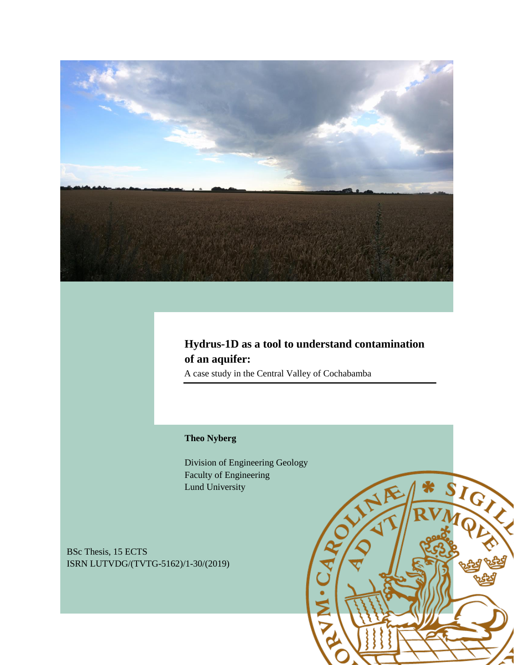

## **Hydrus-1D as a tool to understand contamination of an aquifer:**

A case study in the Central Valley of Cochabamba

#### **Theo Nyberg**

Division of Engineering Geology Faculty of Engineering Lund University

BSc Thesis, 15 ECTS ISRN LUTVDG/(TVTG-5162)/1-30/(2019)

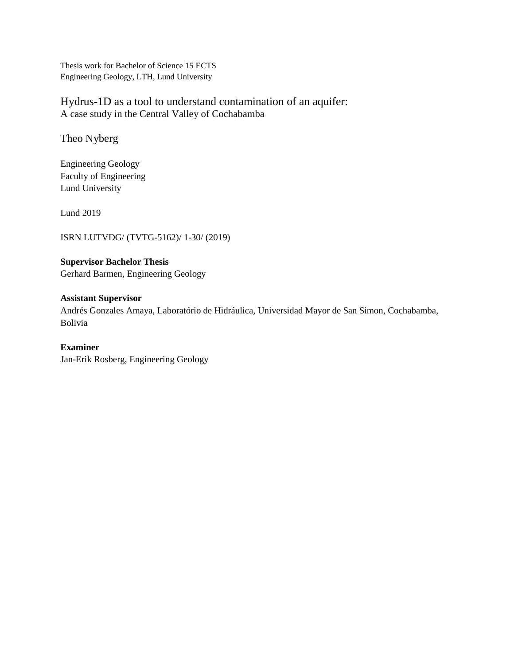Thesis work for Bachelor of Science 15 ECTS Engineering Geology, LTH, Lund University

Hydrus-1D as a tool to understand contamination of an aquifer: A case study in the Central Valley of Cochabamba

Theo Nyberg

Engineering Geology Faculty of Engineering Lund University

Lund 2019

ISRN LUTVDG/ (TVTG-5162)/ 1-30/ (2019)

**Supervisor Bachelor Thesis**  Gerhard Barmen, Engineering Geology

**Assistant Supervisor**  Andrés Gonzales Amaya, Laboratório de Hidráulica, Universidad Mayor de San Simon, Cochabamba, Bolivia

**Examiner**  Jan-Erik Rosberg, Engineering Geology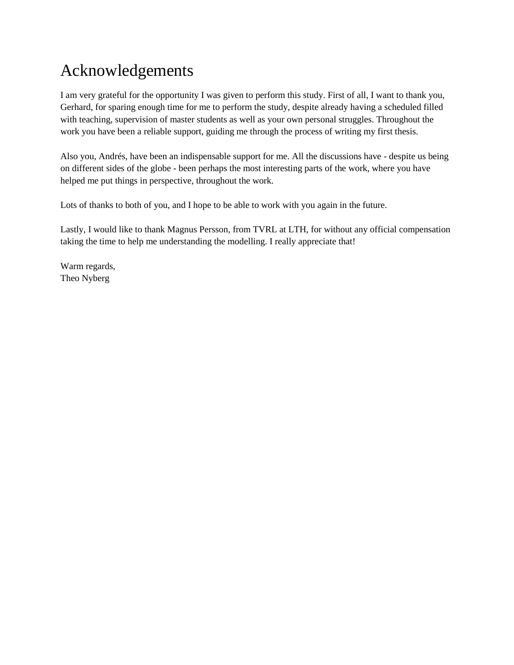# Acknowledgements

I am very grateful for the opportunity I was given to perform this study. First of all, I want to thank you, Gerhard, for sparing enough time for me to perform the study, despite already having a scheduled filled with teaching, supervision of master students as well as your own personal struggles. Throughout the work you have been a reliable support, guiding me through the process of writing my first thesis.

Also you, Andrés, have been an indispensable support for me. All the discussions have - despite us being on different sides of the globe - been perhaps the most interesting parts of the work, where you have helped me put things in perspective, throughout the work.

Lots of thanks to both of you, and I hope to be able to work with you again in the future.

Lastly, I would like to thank Magnus Persson, from TVRL at LTH, for without any official compensation taking the time to help me understanding the modelling. I really appreciate that!

Warm regards, Theo Nyberg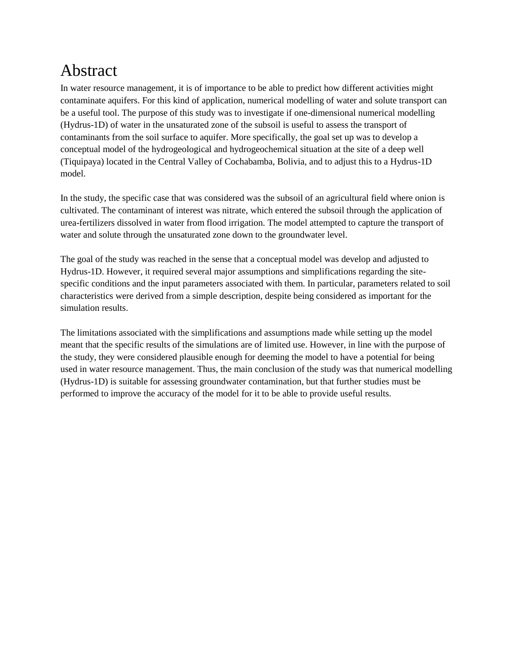# Abstract

In water resource management, it is of importance to be able to predict how different activities might contaminate aquifers. For this kind of application, numerical modelling of water and solute transport can be a useful tool. The purpose of this study was to investigate if one-dimensional numerical modelling (Hydrus-1D) of water in the unsaturated zone of the subsoil is useful to assess the transport of contaminants from the soil surface to aquifer. More specifically, the goal set up was to develop a conceptual model of the hydrogeological and hydrogeochemical situation at the site of a deep well (Tiquipaya) located in the Central Valley of Cochabamba, Bolivia, and to adjust this to a Hydrus-1D model.

In the study, the specific case that was considered was the subsoil of an agricultural field where onion is cultivated. The contaminant of interest was nitrate, which entered the subsoil through the application of urea-fertilizers dissolved in water from flood irrigation. The model attempted to capture the transport of water and solute through the unsaturated zone down to the groundwater level.

The goal of the study was reached in the sense that a conceptual model was develop and adjusted to Hydrus-1D. However, it required several major assumptions and simplifications regarding the sitespecific conditions and the input parameters associated with them. In particular, parameters related to soil characteristics were derived from a simple description, despite being considered as important for the simulation results.

The limitations associated with the simplifications and assumptions made while setting up the model meant that the specific results of the simulations are of limited use. However, in line with the purpose of the study, they were considered plausible enough for deeming the model to have a potential for being used in water resource management. Thus, the main conclusion of the study was that numerical modelling (Hydrus-1D) is suitable for assessing groundwater contamination, but that further studies must be performed to improve the accuracy of the model for it to be able to provide useful results.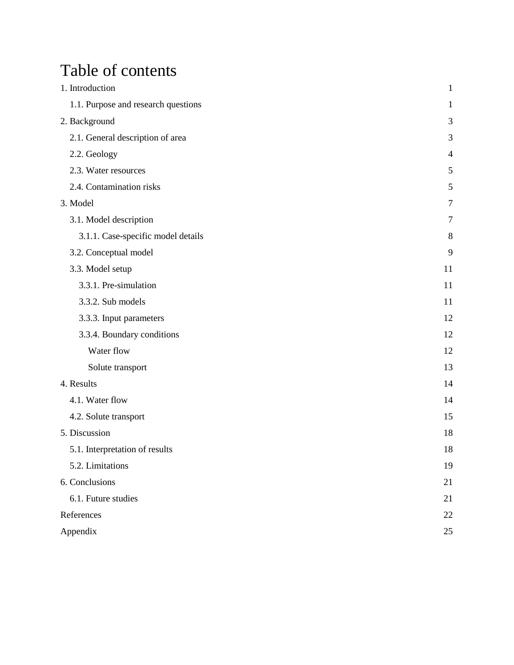# Table of contents

| 1. Introduction                     | $\mathbf{1}$   |
|-------------------------------------|----------------|
| 1.1. Purpose and research questions | 1              |
| 2. Background                       | 3              |
| 2.1. General description of area    | 3              |
| 2.2. Geology                        | $\overline{4}$ |
| 2.3. Water resources                | 5              |
| 2.4. Contamination risks            | 5              |
| 3. Model                            | $\overline{7}$ |
| 3.1. Model description              | 7              |
| 3.1.1. Case-specific model details  | 8              |
| 3.2. Conceptual model               | 9              |
| 3.3. Model setup                    | 11             |
| 3.3.1. Pre-simulation               | 11             |
| 3.3.2. Sub models                   | 11             |
| 3.3.3. Input parameters             | 12             |
| 3.3.4. Boundary conditions          | 12             |
| Water flow                          | 12             |
| Solute transport                    | 13             |
| 4. Results                          | 14             |
| 4.1. Water flow                     | 14             |
| 4.2. Solute transport               | 15             |
| 5. Discussion                       | 18             |
| 5.1. Interpretation of results      | 18             |
| 5.2. Limitations                    | 19             |
| 6. Conclusions                      | 21             |
| 6.1. Future studies                 | 21             |
| References                          | 22             |
| Appendix                            | 25             |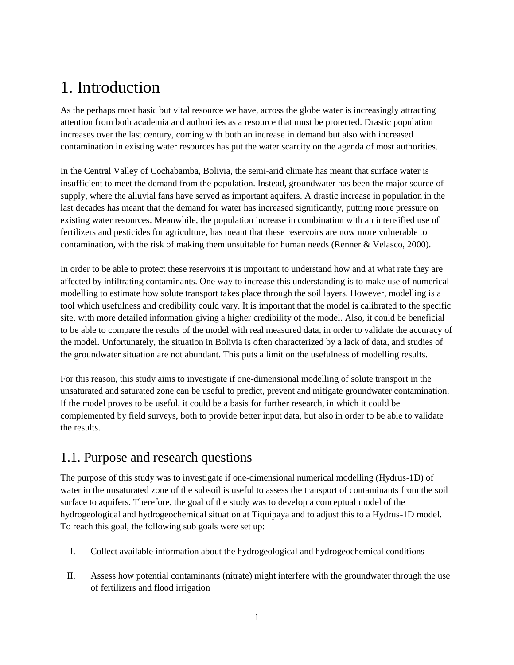# <span id="page-5-0"></span>1. Introduction

As the perhaps most basic but vital resource we have, across the globe water is increasingly attracting attention from both academia and authorities as a resource that must be protected. Drastic population increases over the last century, coming with both an increase in demand but also with increased contamination in existing water resources has put the water scarcity on the agenda of most authorities.

In the Central Valley of Cochabamba, Bolivia, the semi-arid climate has meant that surface water is insufficient to meet the demand from the population. Instead, groundwater has been the major source of supply, where the alluvial fans have served as important aquifers. A drastic increase in population in the last decades has meant that the demand for water has increased significantly, putting more pressure on existing water resources. Meanwhile, the population increase in combination with an intensified use of fertilizers and pesticides for agriculture, has meant that these reservoirs are now more vulnerable to contamination, with the risk of making them unsuitable for human needs (Renner & Velasco, 2000).

In order to be able to protect these reservoirs it is important to understand how and at what rate they are affected by infiltrating contaminants. One way to increase this understanding is to make use of numerical modelling to estimate how solute transport takes place through the soil layers. However, modelling is a tool which usefulness and credibility could vary. It is important that the model is calibrated to the specific site, with more detailed information giving a higher credibility of the model. Also, it could be beneficial to be able to compare the results of the model with real measured data, in order to validate the accuracy of the model. Unfortunately, the situation in Bolivia is often characterized by a lack of data, and studies of the groundwater situation are not abundant. This puts a limit on the usefulness of modelling results.

For this reason, this study aims to investigate if one-dimensional modelling of solute transport in the unsaturated and saturated zone can be useful to predict, prevent and mitigate groundwater contamination. If the model proves to be useful, it could be a basis for further research, in which it could be complemented by field surveys, both to provide better input data, but also in order to be able to validate the results.

## <span id="page-5-1"></span>1.1. Purpose and research questions

The purpose of this study was to investigate if one-dimensional numerical modelling (Hydrus-1D) of water in the unsaturated zone of the subsoil is useful to assess the transport of contaminants from the soil surface to aquifers. Therefore, the goal of the study was to develop a conceptual model of the hydrogeological and hydrogeochemical situation at Tiquipaya and to adjust this to a Hydrus-1D model. To reach this goal, the following sub goals were set up:

- I. Collect available information about the hydrogeological and hydrogeochemical conditions
- II. Assess how potential contaminants (nitrate) might interfere with the groundwater through the use of fertilizers and flood irrigation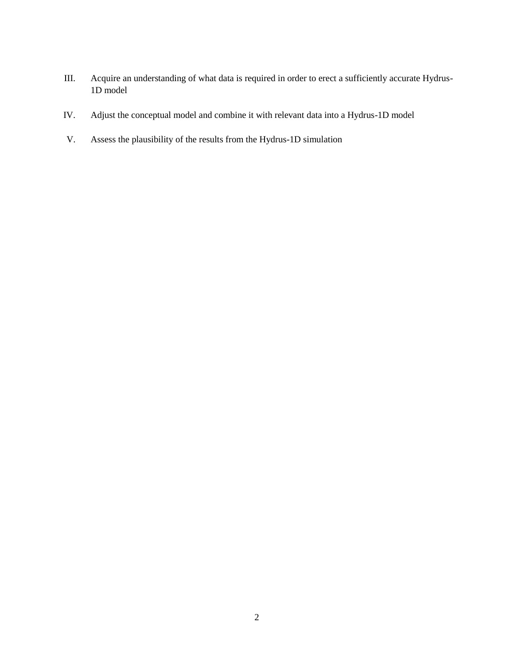- III. Acquire an understanding of what data is required in order to erect a sufficiently accurate Hydrus-1D model
- IV. Adjust the conceptual model and combine it with relevant data into a Hydrus-1D model
- V. Assess the plausibility of the results from the Hydrus-1D simulation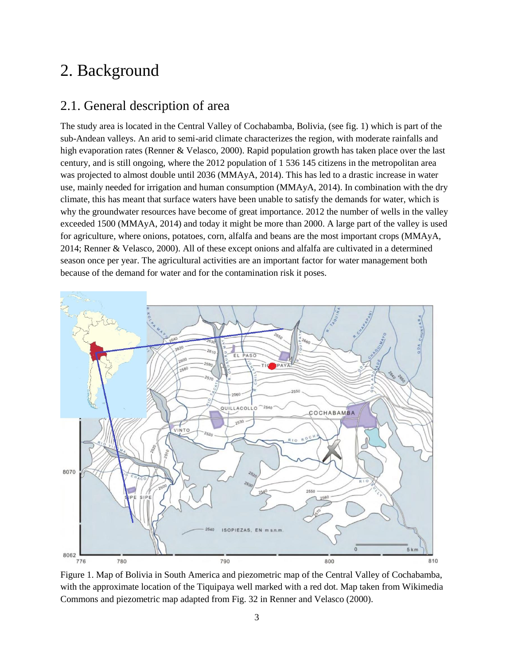# <span id="page-7-0"></span>2. Background

### <span id="page-7-1"></span>2.1. General description of area

The study area is located in the Central Valley of Cochabamba, Bolivia, (see fig. 1) which is part of the sub-Andean valleys. An arid to semi-arid climate characterizes the region, with moderate rainfalls and high evaporation rates (Renner & Velasco, 2000). Rapid population growth has taken place over the last century, and is still ongoing, where the 2012 population of 1 536 145 citizens in the metropolitan area was projected to almost double until 2036 (MMAyA, 2014). This has led to a drastic increase in water use, mainly needed for irrigation and human consumption (MMAyA, 2014). In combination with the dry climate, this has meant that surface waters have been unable to satisfy the demands for water, which is why the groundwater resources have become of great importance. 2012 the number of wells in the valley exceeded 1500 (MMAyA, 2014) and today it might be more than 2000. A large part of the valley is used for agriculture, where onions, potatoes, corn, alfalfa and beans are the most important crops (MMAyA, 2014; Renner & Velasco, 2000). All of these except onions and alfalfa are cultivated in a determined season once per year. The agricultural activities are an important factor for water management both because of the demand for water and for the contamination risk it poses.



Figure 1. Map of Bolivia in South America and piezometric map of the Central Valley of Cochabamba, with the approximate location of the Tiquipaya well marked with a red dot. Map taken from Wikimedia Commons and piezometric map adapted from Fig. 32 in Renner and Velasco (2000).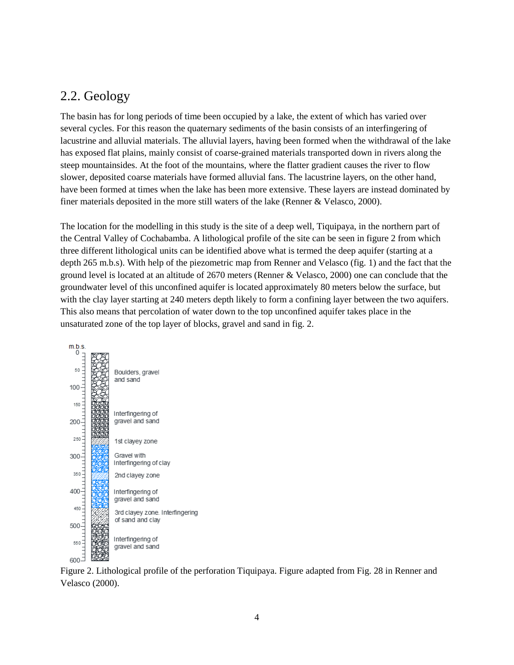## <span id="page-8-0"></span>2.2. Geology

The basin has for long periods of time been occupied by a lake, the extent of which has varied over several cycles. For this reason the quaternary sediments of the basin consists of an interfingering of lacustrine and alluvial materials. The alluvial layers, having been formed when the withdrawal of the lake has exposed flat plains, mainly consist of coarse-grained materials transported down in rivers along the steep mountainsides. At the foot of the mountains, where the flatter gradient causes the river to flow slower, deposited coarse materials have formed alluvial fans. The lacustrine layers, on the other hand, have been formed at times when the lake has been more extensive. These layers are instead dominated by finer materials deposited in the more still waters of the lake (Renner & Velasco, 2000).

The location for the modelling in this study is the site of a deep well, Tiquipaya, in the northern part of the Central Valley of Cochabamba. A lithological profile of the site can be seen in figure 2 from which three different lithological units can be identified above what is termed the deep aquifer (starting at a depth 265 m.b.s). With help of the piezometric map from Renner and Velasco (fig. 1) and the fact that the ground level is located at an altitude of 2670 meters (Renner & Velasco, 2000) one can conclude that the groundwater level of this unconfined aquifer is located approximately 80 meters below the surface, but with the clay layer starting at 240 meters depth likely to form a confining layer between the two aquifers. This also means that percolation of water down to the top unconfined aquifer takes place in the unsaturated zone of the top layer of blocks, gravel and sand in fig. 2.



Figure 2. Lithological profile of the perforation Tiquipaya. Figure adapted from Fig. 28 in Renner and Velasco (2000).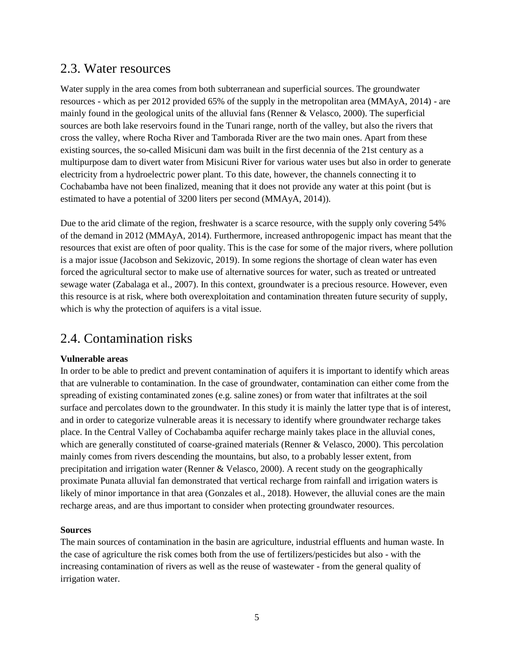### <span id="page-9-0"></span>2.3. Water resources

Water supply in the area comes from both subterranean and superficial sources. The groundwater resources - which as per 2012 provided 65% of the supply in the metropolitan area (MMAyA, 2014) - are mainly found in the geological units of the alluvial fans (Renner & Velasco, 2000). The superficial sources are both lake reservoirs found in the Tunari range, north of the valley, but also the rivers that cross the valley, where Rocha River and Tamborada River are the two main ones. Apart from these existing sources, the so-called Misicuni dam was built in the first decennia of the 21st century as a multipurpose dam to divert water from Misicuni River for various water uses but also in order to generate electricity from a hydroelectric power plant. To this date, however, the channels connecting it to Cochabamba have not been finalized, meaning that it does not provide any water at this point (but is estimated to have a potential of 3200 liters per second (MMAyA, 2014)).

Due to the arid climate of the region, freshwater is a scarce resource, with the supply only covering 54% of the demand in 2012 (MMAyA, 2014). Furthermore, increased anthropogenic impact has meant that the resources that exist are often of poor quality. This is the case for some of the major rivers, where pollution is a major issue (Jacobson and Sekizovic, 2019). In some regions the shortage of clean water has even forced the agricultural sector to make use of alternative sources for water, such as treated or untreated sewage water (Zabalaga et al., 2007). In this context, groundwater is a precious resource. However, even this resource is at risk, where both overexploitation and contamination threaten future security of supply, which is why the protection of aquifers is a vital issue.

## <span id="page-9-1"></span>2.4. Contamination risks

#### **Vulnerable areas**

In order to be able to predict and prevent contamination of aquifers it is important to identify which areas that are vulnerable to contamination. In the case of groundwater, contamination can either come from the spreading of existing contaminated zones (e.g. saline zones) or from water that infiltrates at the soil surface and percolates down to the groundwater. In this study it is mainly the latter type that is of interest, and in order to categorize vulnerable areas it is necessary to identify where groundwater recharge takes place. In the Central Valley of Cochabamba aquifer recharge mainly takes place in the alluvial cones, which are generally constituted of coarse-grained materials (Renner & Velasco, 2000). This percolation mainly comes from rivers descending the mountains, but also, to a probably lesser extent, from precipitation and irrigation water (Renner & Velasco, 2000). A recent study on the geographically proximate Punata alluvial fan demonstrated that vertical recharge from rainfall and irrigation waters is likely of minor importance in that area (Gonzales et al., 2018). However, the alluvial cones are the main recharge areas, and are thus important to consider when protecting groundwater resources.

#### **Sources**

The main sources of contamination in the basin are agriculture, industrial effluents and human waste. In the case of agriculture the risk comes both from the use of fertilizers/pesticides but also - with the increasing contamination of rivers as well as the reuse of wastewater - from the general quality of irrigation water.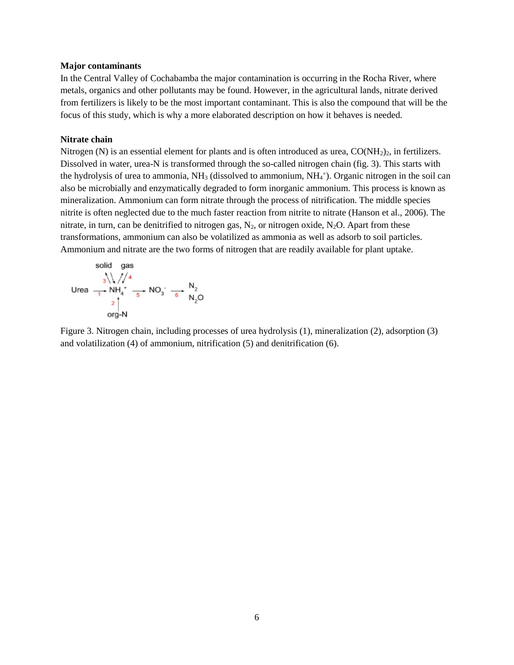#### **Major contaminants**

In the Central Valley of Cochabamba the major contamination is occurring in the Rocha River, where metals, organics and other pollutants may be found. However, in the agricultural lands, nitrate derived from fertilizers is likely to be the most important contaminant. This is also the compound that will be the focus of this study, which is why a more elaborated description on how it behaves is needed.

#### **Nitrate chain**

Nitrogen (N) is an essential element for plants and is often introduced as urea,  $CO(NH<sub>2</sub>)<sub>2</sub>$ , in fertilizers. Dissolved in water, urea-N is transformed through the so-called nitrogen chain (fig. 3). This starts with the hydrolysis of urea to ammonia,  $NH<sub>3</sub>$  (dissolved to ammonium,  $NH<sub>4</sub>$ <sup>+</sup>). Organic nitrogen in the soil can also be microbially and enzymatically degraded to form inorganic ammonium. This process is known as mineralization. Ammonium can form nitrate through the process of nitrification. The middle species nitrite is often neglected due to the much faster reaction from nitrite to nitrate (Hanson et al., 2006). The nitrate, in turn, can be denitrified to nitrogen gas,  $N_2$ , or nitrogen oxide,  $N_2O$ . Apart from these transformations, ammonium can also be volatilized as ammonia as well as adsorb to soil particles. Ammonium and nitrate are the two forms of nitrogen that are readily available for plant uptake.

$$
\begin{array}{ccc}\n\text{solid gas} \\
\hline\n\text{0} & \text{m/s} \\
\text{Urea} & \text{m} & \text{mH}_4 + \text{mH}_4 + \text{mH}_2 \\
\text{O} & \text{mH}_2\n\end{array}
$$
\n
$$
\begin{array}{ccc}\n\text{O}_3 & \text{mH}_2 \\
\text{O} & \text{mH}_2\n\end{array}
$$
\n
$$
\begin{array}{ccc}\n\text{O}_3 & \text{mH}_2 \\
\text{O} & \text{mH}_2\n\end{array}
$$

Figure 3. Nitrogen chain, including processes of urea hydrolysis (1), mineralization (2), adsorption (3) and volatilization (4) of ammonium, nitrification (5) and denitrification (6).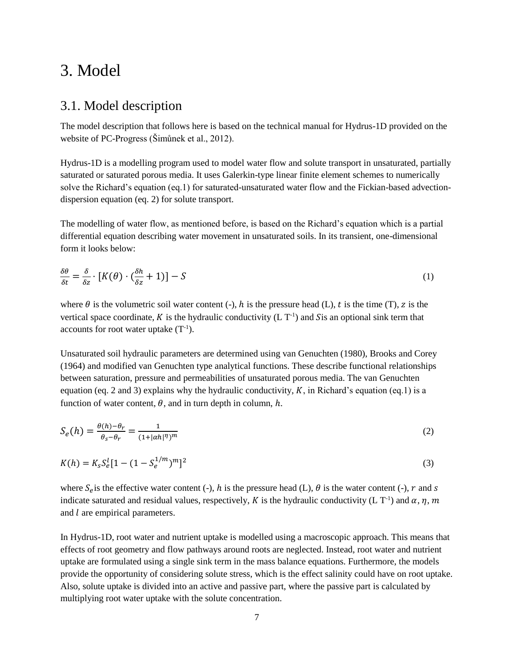## <span id="page-11-0"></span>3. Model

### <span id="page-11-1"></span>3.1. Model description

The model description that follows here is based on the technical manual for Hydrus-1D provided on the website of PC-Progress (Šimůnek et al., 2012).

Hydrus-1D is a modelling program used to model water flow and solute transport in unsaturated, partially saturated or saturated porous media. It uses Galerkin-type linear finite element schemes to numerically solve the Richard's equation (eq.1) for saturated-unsaturated water flow and the Fickian-based advectiondispersion equation (eq. 2) for solute transport.

The modelling of water flow, as mentioned before, is based on the Richard's equation which is a partial differential equation describing water movement in unsaturated soils. In its transient, one-dimensional form it looks below:

$$
\frac{\delta\theta}{\delta t} = \frac{\delta}{\delta z} \cdot [K(\theta) \cdot (\frac{\delta h}{\delta z} + 1)] - S \tag{1}
$$

where  $\theta$  is the volumetric soil water content (-),  $h$  is the pressure head (L),  $t$  is the time (T),  $z$  is the vertical space coordinate, K is the hydraulic conductivity  $(L T^{-1})$  and Sis an optional sink term that accounts for root water uptake  $(T^{-1})$ .

Unsaturated soil hydraulic parameters are determined using van Genuchten (1980), Brooks and Corey (1964) and modified van Genuchten type analytical functions. These describe functional relationships between saturation, pressure and permeabilities of unsaturated porous media. The van Genuchten equation (eq. 2 and 3) explains why the hydraulic conductivity,  $K$ , in Richard's equation (eq.1) is a function of water content,  $\theta$ , and in turn depth in column,  $h$ .

$$
S_e(h) = \frac{\theta(h) - \theta_r}{\theta_s - \theta_r} = \frac{1}{(1 + |\alpha h|^{\eta})^m}
$$
\n(2)

$$
K(h) = K_s S_e^l [1 - (1 - S_e^{1/m})^m]^2
$$
\n(3)

where  $S_e$  is the effective water content (-), h is the pressure head (L),  $\theta$  is the water content (-), r and s indicate saturated and residual values, respectively, K is the hydraulic conductivity (L T<sup>-1</sup>) and  $\alpha$ ,  $\eta$ ,  $m$ and  $l$  are empirical parameters.

In Hydrus-1D, root water and nutrient uptake is modelled using a macroscopic approach. This means that effects of root geometry and flow pathways around roots are neglected. Instead, root water and nutrient uptake are formulated using a single sink term in the mass balance equations. Furthermore, the models provide the opportunity of considering solute stress, which is the effect salinity could have on root uptake. Also, solute uptake is divided into an active and passive part, where the passive part is calculated by multiplying root water uptake with the solute concentration.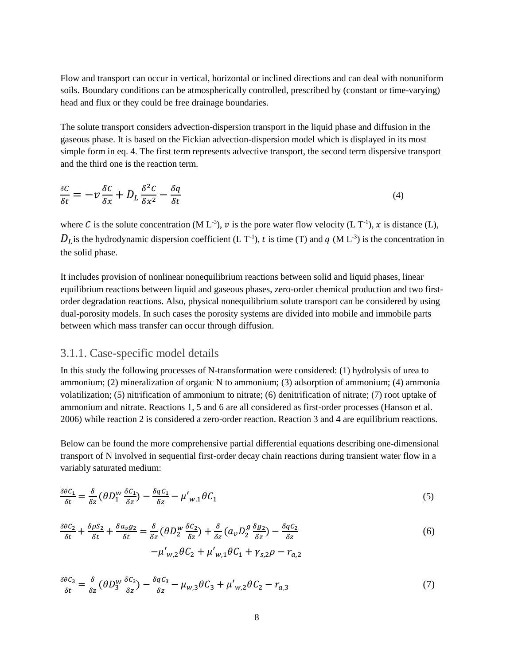Flow and transport can occur in vertical, horizontal or inclined directions and can deal with nonuniform soils. Boundary conditions can be atmospherically controlled, prescribed by (constant or time-varying) head and flux or they could be free drainage boundaries.

The solute transport considers advection-dispersion transport in the liquid phase and diffusion in the gaseous phase. It is based on the Fickian advection-dispersion model which is displayed in its most simple form in eq. 4. The first term represents advective transport, the second term dispersive transport and the third one is the reaction term.

$$
\frac{\delta C}{\delta t} = -\nu \frac{\delta C}{\delta x} + D_L \frac{\delta^2 C}{\delta x^2} - \frac{\delta q}{\delta t} \tag{4}
$$

where C is the solute concentration (M L<sup>-3</sup>), v is the pore water flow velocity (L T<sup>-1</sup>), x is distance (L),  $D_L$  is the hydrodynamic dispersion coefficient (L T<sup>-1</sup>), t is time (T) and q (M L<sup>-3</sup>) is the concentration in the solid phase.

It includes provision of nonlinear nonequilibrium reactions between solid and liquid phases, linear equilibrium reactions between liquid and gaseous phases, zero-order chemical production and two firstorder degradation reactions. Also, physical nonequilibrium solute transport can be considered by using dual-porosity models. In such cases the porosity systems are divided into mobile and immobile parts between which mass transfer can occur through diffusion.

#### <span id="page-12-0"></span>3.1.1. Case-specific model details

In this study the following processes of N-transformation were considered: (1) hydrolysis of urea to ammonium; (2) mineralization of organic N to ammonium; (3) adsorption of ammonium; (4) ammonia volatilization; (5) nitrification of ammonium to nitrate; (6) denitrification of nitrate; (7) root uptake of ammonium and nitrate. Reactions 1, 5 and 6 are all considered as first-order processes (Hanson et al. 2006) while reaction 2 is considered a zero-order reaction. Reaction 3 and 4 are equilibrium reactions.

Below can be found the more comprehensive partial differential equations describing one-dimensional transport of N involved in sequential first-order decay chain reactions during transient water flow in a variably saturated medium:

$$
\frac{\delta\theta C_1}{\delta t} = \frac{\delta}{\delta z} \left(\theta D_1^W \frac{\delta C_1}{\delta z}\right) - \frac{\delta q C_1}{\delta z} - \mu'_{W,1} \theta C_1 \tag{5}
$$

$$
\frac{\delta\theta C_2}{\delta t} + \frac{\delta\rho S_2}{\delta t} + \frac{\delta a_v g_2}{\delta t} = \frac{\delta}{\delta z} \left(\theta D_2^w \frac{\delta C_2}{\delta z}\right) + \frac{\delta}{\delta z} \left(a_v D_2^g \frac{\delta g_2}{\delta z}\right) - \frac{\delta q C_2}{\delta z} -\mu'_{w,2} \theta C_2 + \mu'_{w,1} \theta C_1 + \gamma_{s,2} \rho - r_{a,2}
$$
(6)

$$
\frac{\delta\theta C_3}{\delta t} = \frac{\delta}{\delta z} \left(\theta D_3^W \frac{\delta C_3}{\delta z}\right) - \frac{\delta q C_3}{\delta z} - \mu_{W,3} \theta C_3 + \mu'_{W,2} \theta C_2 - r_{a,3} \tag{7}
$$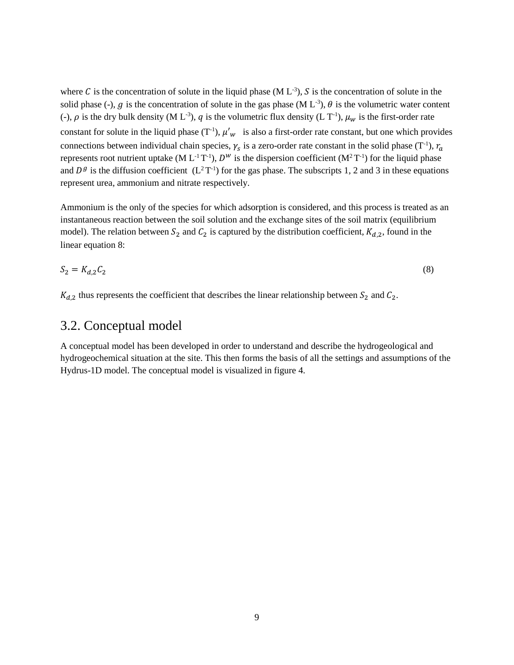where C is the concentration of solute in the liquid phase (M  $L^{-3}$ ), S is the concentration of solute in the solid phase (-), g is the concentration of solute in the gas phase (M L<sup>-3</sup>),  $\theta$  is the volumetric water content (-),  $\rho$  is the dry bulk density (M L<sup>-3</sup>),  $q$  is the volumetric flux density (L T<sup>-1</sup>),  $\mu_w$  is the first-order rate constant for solute in the liquid phase  $(T^{-1})$ ,  $\mu'_{w}$  is also a first-order rate constant, but one which provides connections between individual chain species,  $\gamma_s$  is a zero-order rate constant in the solid phase (T<sup>-1</sup>),  $r_a$ represents root nutrient uptake (M  $L^{-1}T^{-1}$ ),  $D^W$  is the dispersion coefficient (M<sup>2</sup>T<sup>-1</sup>) for the liquid phase and  $D^g$  is the diffusion coefficient  $(L^2T^{-1})$  for the gas phase. The subscripts 1, 2 and 3 in these equations represent urea, ammonium and nitrate respectively.

Ammonium is the only of the species for which adsorption is considered, and this process is treated as an instantaneous reaction between the soil solution and the exchange sites of the soil matrix (equilibrium model). The relation between  $S_2$  and  $C_2$  is captured by the distribution coefficient,  $K_{d,2}$ , found in the linear equation 8:

$$
S_2 = K_{d,2} C_2 \tag{8}
$$

<span id="page-13-0"></span> $K_{d,2}$  thus represents the coefficient that describes the linear relationship between  $S_2$  and  $C_2$ .

### 3.2. Conceptual model

A conceptual model has been developed in order to understand and describe the hydrogeological and hydrogeochemical situation at the site. This then forms the basis of all the settings and assumptions of the Hydrus-1D model. The conceptual model is visualized in figure 4.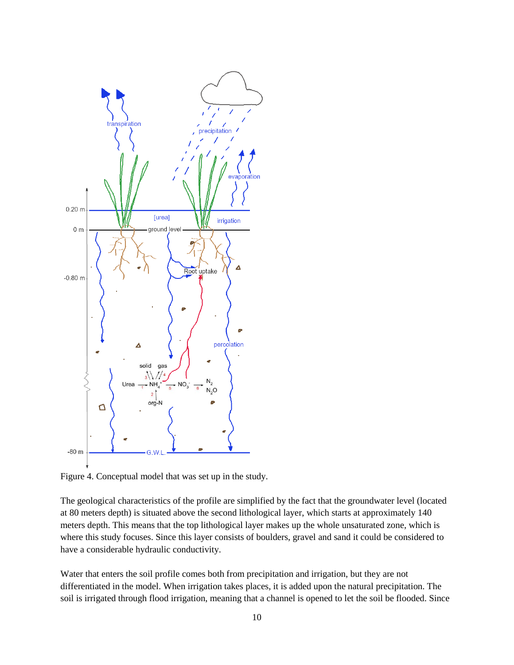

Figure 4. Conceptual model that was set up in the study.

The geological characteristics of the profile are simplified by the fact that the groundwater level (located at 80 meters depth) is situated above the second lithological layer, which starts at approximately 140 meters depth. This means that the top lithological layer makes up the whole unsaturated zone, which is where this study focuses. Since this layer consists of boulders, gravel and sand it could be considered to have a considerable hydraulic conductivity.

Water that enters the soil profile comes both from precipitation and irrigation, but they are not differentiated in the model. When irrigation takes places, it is added upon the natural precipitation. The soil is irrigated through flood irrigation, meaning that a channel is opened to let the soil be flooded. Since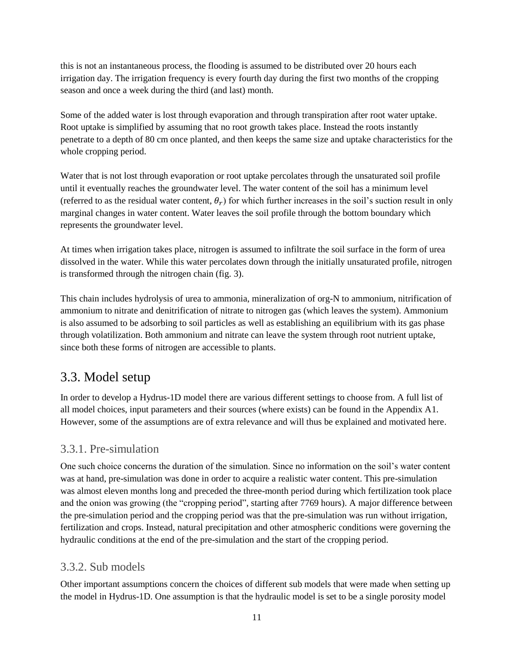this is not an instantaneous process, the flooding is assumed to be distributed over 20 hours each irrigation day. The irrigation frequency is every fourth day during the first two months of the cropping season and once a week during the third (and last) month.

Some of the added water is lost through evaporation and through transpiration after root water uptake. Root uptake is simplified by assuming that no root growth takes place. Instead the roots instantly penetrate to a depth of 80 cm once planted, and then keeps the same size and uptake characteristics for the whole cropping period.

Water that is not lost through evaporation or root uptake percolates through the unsaturated soil profile until it eventually reaches the groundwater level. The water content of the soil has a minimum level (referred to as the residual water content,  $\theta_r$ ) for which further increases in the soil's suction result in only marginal changes in water content. Water leaves the soil profile through the bottom boundary which represents the groundwater level.

At times when irrigation takes place, nitrogen is assumed to infiltrate the soil surface in the form of urea dissolved in the water. While this water percolates down through the initially unsaturated profile, nitrogen is transformed through the nitrogen chain (fig. 3).

This chain includes hydrolysis of urea to ammonia, mineralization of org-N to ammonium, nitrification of ammonium to nitrate and denitrification of nitrate to nitrogen gas (which leaves the system). Ammonium is also assumed to be adsorbing to soil particles as well as establishing an equilibrium with its gas phase through volatilization. Both ammonium and nitrate can leave the system through root nutrient uptake, since both these forms of nitrogen are accessible to plants.

## <span id="page-15-0"></span>3.3. Model setup

In order to develop a Hydrus-1D model there are various different settings to choose from. A full list of all model choices, input parameters and their sources (where exists) can be found in the Appendix A1. However, some of the assumptions are of extra relevance and will thus be explained and motivated here.

### <span id="page-15-1"></span>3.3.1. Pre-simulation

One such choice concerns the duration of the simulation. Since no information on the soil's water content was at hand, pre-simulation was done in order to acquire a realistic water content. This pre-simulation was almost eleven months long and preceded the three-month period during which fertilization took place and the onion was growing (the "cropping period", starting after 7769 hours). A major difference between the pre-simulation period and the cropping period was that the pre-simulation was run without irrigation, fertilization and crops. Instead, natural precipitation and other atmospheric conditions were governing the hydraulic conditions at the end of the pre-simulation and the start of the cropping period.

### <span id="page-15-2"></span>3.3.2. Sub models

Other important assumptions concern the choices of different sub models that were made when setting up the model in Hydrus-1D. One assumption is that the hydraulic model is set to be a single porosity model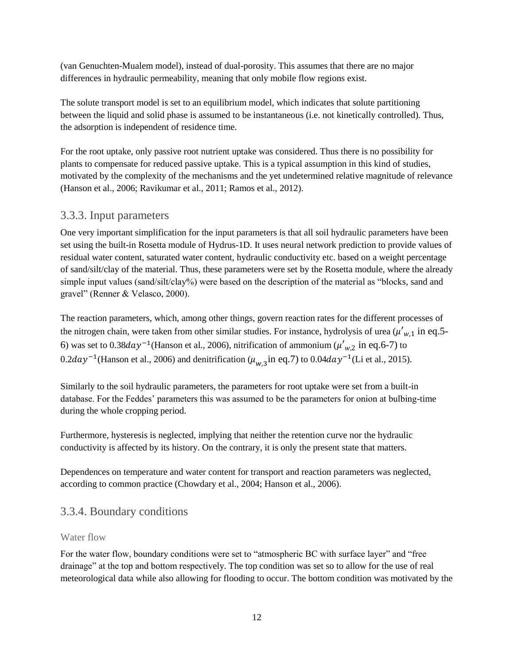(van Genuchten-Mualem model), instead of dual-porosity. This assumes that there are no major differences in hydraulic permeability, meaning that only mobile flow regions exist.

The solute transport model is set to an equilibrium model, which indicates that solute partitioning between the liquid and solid phase is assumed to be instantaneous (i.e. not kinetically controlled). Thus, the adsorption is independent of residence time.

For the root uptake, only passive root nutrient uptake was considered. Thus there is no possibility for plants to compensate for reduced passive uptake. This is a typical assumption in this kind of studies, motivated by the complexity of the mechanisms and the yet undetermined relative magnitude of relevance (Hanson et al., 2006; Ravikumar et al., 2011; Ramos et al., 2012).

### <span id="page-16-0"></span>3.3.3. Input parameters

One very important simplification for the input parameters is that all soil hydraulic parameters have been set using the built-in Rosetta module of Hydrus-1D. It uses neural network prediction to provide values of residual water content, saturated water content, hydraulic conductivity etc. based on a weight percentage of sand/silt/clay of the material. Thus, these parameters were set by the Rosetta module, where the already simple input values (sand/silt/clay%) were based on the description of the material as "blocks, sand and gravel" (Renner & Velasco, 2000).

The reaction parameters, which, among other things, govern reaction rates for the different processes of the nitrogen chain, were taken from other similar studies. For instance, hydrolysis of urea  $(\mu'_{w,1}$  in eq.5-6) was set to 0.38 $day^{-1}$ (Hanson et al., 2006), nitrification of ammonium ( $\mu'_{w,2}$  in eq.6-7) to  $0.2 day^{-1}$ (Hanson et al., 2006) and denitrification ( $\mu_{w,3}$ in eq.7) to  $0.04 day^{-1}$ (Li et al., 2015).

Similarly to the soil hydraulic parameters, the parameters for root uptake were set from a built-in database. For the Feddes' parameters this was assumed to be the parameters for onion at bulbing-time during the whole cropping period.

Furthermore, hysteresis is neglected, implying that neither the retention curve nor the hydraulic conductivity is affected by its history. On the contrary, it is only the present state that matters.

Dependences on temperature and water content for transport and reaction parameters was neglected, according to common practice (Chowdary et al., 2004; Hanson et al., 2006).

### <span id="page-16-1"></span>3.3.4. Boundary conditions

#### <span id="page-16-2"></span>Water flow

For the water flow, boundary conditions were set to "atmospheric BC with surface layer" and "free drainage" at the top and bottom respectively. The top condition was set so to allow for the use of real meteorological data while also allowing for flooding to occur. The bottom condition was motivated by the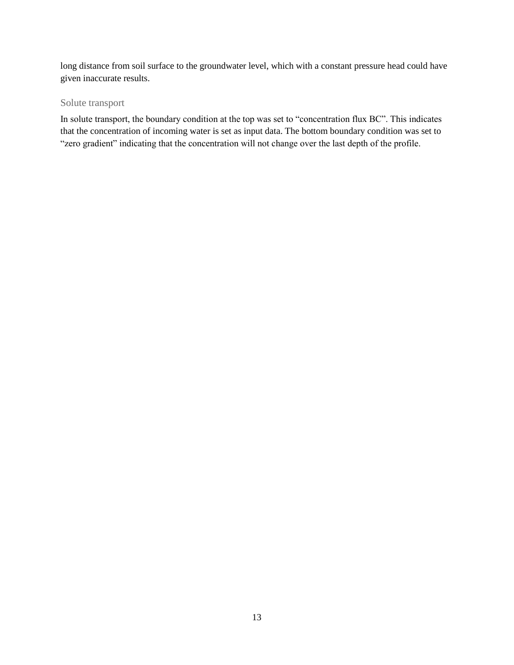long distance from soil surface to the groundwater level, which with a constant pressure head could have given inaccurate results.

#### <span id="page-17-0"></span>Solute transport

In solute transport, the boundary condition at the top was set to "concentration flux BC". This indicates that the concentration of incoming water is set as input data. The bottom boundary condition was set to "zero gradient" indicating that the concentration will not change over the last depth of the profile.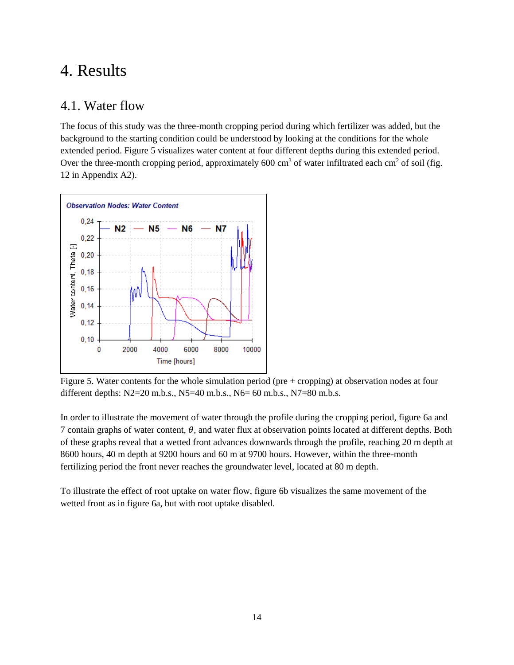## <span id="page-18-0"></span>4. Results

### <span id="page-18-1"></span>4.1. Water flow

The focus of this study was the three-month cropping period during which fertilizer was added, but the background to the starting condition could be understood by looking at the conditions for the whole extended period. Figure 5 visualizes water content at four different depths during this extended period. Over the three-month cropping period, approximately 600 cm<sup>3</sup> of water infiltrated each cm<sup>2</sup> of soil (fig. 12 in Appendix A2).



Figure 5. Water contents for the whole simulation period (pre + cropping) at observation nodes at four different depths: N2=20 m.b.s., N5=40 m.b.s., N6= 60 m.b.s., N7=80 m.b.s.

In order to illustrate the movement of water through the profile during the cropping period, figure 6a and 7 contain graphs of water content,  $\theta$ , and water flux at observation points located at different depths. Both of these graphs reveal that a wetted front advances downwards through the profile, reaching 20 m depth at 8600 hours, 40 m depth at 9200 hours and 60 m at 9700 hours. However, within the three-month fertilizing period the front never reaches the groundwater level, located at 80 m depth.

To illustrate the effect of root uptake on water flow, figure 6b visualizes the same movement of the wetted front as in figure 6a, but with root uptake disabled.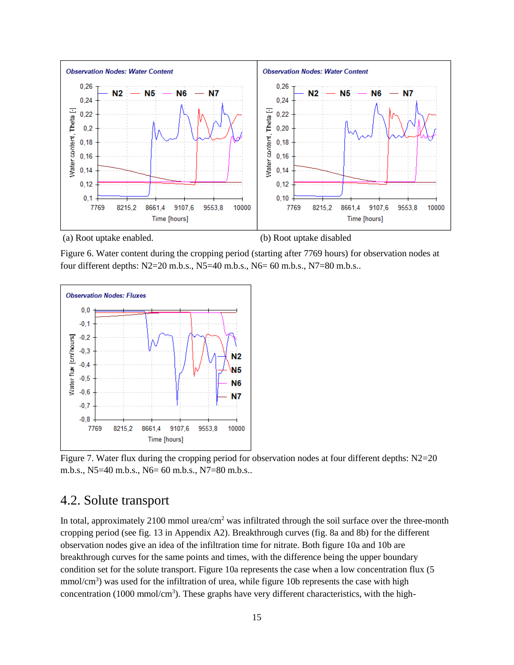

(a) Root uptake enabled. (b) Root uptake disabled

Figure 6. Water content during the cropping period (starting after 7769 hours) for observation nodes at four different depths: N2=20 m.b.s., N5=40 m.b.s., N6= 60 m.b.s., N7=80 m.b.s..

![](_page_19_Figure_4.jpeg)

Figure 7. Water flux during the cropping period for observation nodes at four different depths: N2=20 m.b.s., N5=40 m.b.s., N6= 60 m.b.s., N7=80 m.b.s..

### <span id="page-19-0"></span>4.2. Solute transport

In total, approximately 2100 mmol urea/cm<sup>2</sup> was infiltrated through the soil surface over the three-month cropping period (see fig. 13 in Appendix A2). Breakthrough curves (fig. 8a and 8b) for the different observation nodes give an idea of the infiltration time for nitrate. Both figure 10a and 10b are breakthrough curves for the same points and times, with the difference being the upper boundary condition set for the solute transport. Figure 10a represents the case when a low concentration flux (5 mmol/cm<sup>3</sup>) was used for the infiltration of urea, while figure 10b represents the case with high concentration (1000 mmol/cm<sup>3</sup>). These graphs have very different characteristics, with the high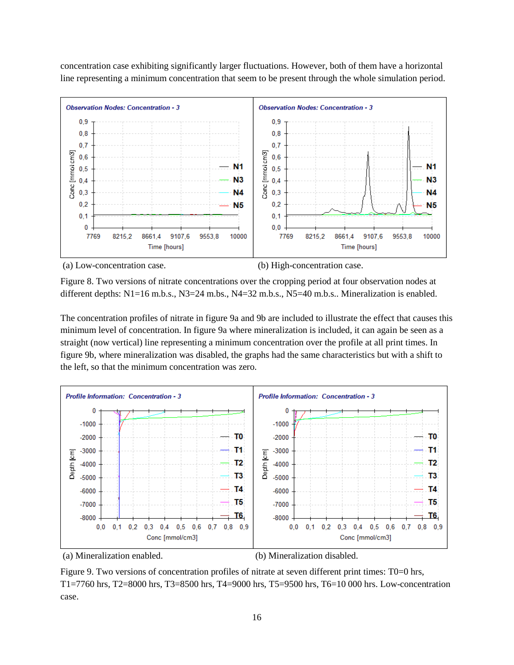concentration case exhibiting significantly larger fluctuations. However, both of them have a horizontal line representing a minimum concentration that seem to be present through the whole simulation period.

![](_page_20_Figure_1.jpeg)

(a) Low-concentration case. (b) High-concentration case.

Figure 8. Two versions of nitrate concentrations over the cropping period at four observation nodes at different depths: N1=16 m.b.s., N3=24 m.bs., N4=32 m.b.s., N5=40 m.b.s.. Mineralization is enabled.

The concentration profiles of nitrate in figure 9a and 9b are included to illustrate the effect that causes this minimum level of concentration. In figure 9a where mineralization is included, it can again be seen as a straight (now vertical) line representing a minimum concentration over the profile at all print times. In figure 9b, where mineralization was disabled, the graphs had the same characteristics but with a shift to the left, so that the minimum concentration was zero.

![](_page_20_Figure_6.jpeg)

(a) Mineralization enabled. (b) Mineralization disabled.

Figure 9. Two versions of concentration profiles of nitrate at seven different print times: T0=0 hrs, T1=7760 hrs, T2=8000 hrs, T3=8500 hrs, T4=9000 hrs, T5=9500 hrs, T6=10 000 hrs. Low-concentration case.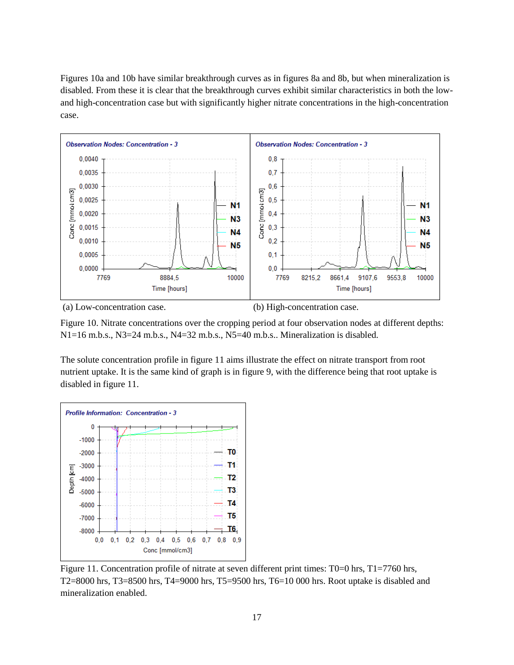Figures 10a and 10b have similar breakthrough curves as in figures 8a and 8b, but when mineralization is disabled. From these it is clear that the breakthrough curves exhibit similar characteristics in both the lowand high-concentration case but with significantly higher nitrate concentrations in the high-concentration case.

![](_page_21_Figure_1.jpeg)

(a) Low-concentration case. (b) High-concentration case.

Figure 10. Nitrate concentrations over the cropping period at four observation nodes at different depths:  $N1=16$  m.b.s.,  $N3=24$  m.b.s.,  $N4=32$  m.b.s.,  $N5=40$  m.b.s.. Mineralization is disabled.

The solute concentration profile in figure 11 aims illustrate the effect on nitrate transport from root nutrient uptake. It is the same kind of graph is in figure 9, with the difference being that root uptake is disabled in figure 11.

![](_page_21_Figure_6.jpeg)

Figure 11. Concentration profile of nitrate at seven different print times: T0=0 hrs, T1=7760 hrs, T2=8000 hrs, T3=8500 hrs, T4=9000 hrs, T5=9500 hrs, T6=10 000 hrs. Root uptake is disabled and mineralization enabled.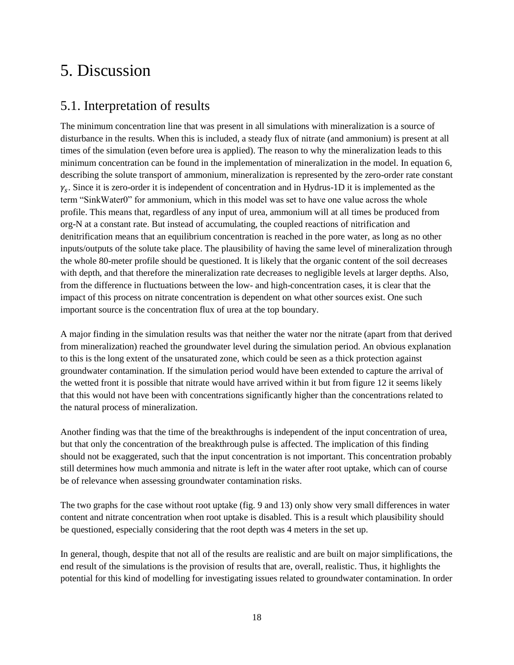# <span id="page-22-0"></span>5. Discussion

## <span id="page-22-1"></span>5.1. Interpretation of results

The minimum concentration line that was present in all simulations with mineralization is a source of disturbance in the results. When this is included, a steady flux of nitrate (and ammonium) is present at all times of the simulation (even before urea is applied). The reason to why the mineralization leads to this minimum concentration can be found in the implementation of mineralization in the model. In equation 6, describing the solute transport of ammonium, mineralization is represented by the zero-order rate constant  $\gamma_s$ . Since it is zero-order it is independent of concentration and in Hydrus-1D it is implemented as the term "SinkWater0" for ammonium, which in this model was set to have one value across the whole profile. This means that, regardless of any input of urea, ammonium will at all times be produced from org-N at a constant rate. But instead of accumulating, the coupled reactions of nitrification and denitrification means that an equilibrium concentration is reached in the pore water, as long as no other inputs/outputs of the solute take place. The plausibility of having the same level of mineralization through the whole 80-meter profile should be questioned. It is likely that the organic content of the soil decreases with depth, and that therefore the mineralization rate decreases to negligible levels at larger depths. Also, from the difference in fluctuations between the low- and high-concentration cases, it is clear that the impact of this process on nitrate concentration is dependent on what other sources exist. One such important source is the concentration flux of urea at the top boundary.

A major finding in the simulation results was that neither the water nor the nitrate (apart from that derived from mineralization) reached the groundwater level during the simulation period. An obvious explanation to this is the long extent of the unsaturated zone, which could be seen as a thick protection against groundwater contamination. If the simulation period would have been extended to capture the arrival of the wetted front it is possible that nitrate would have arrived within it but from figure 12 it seems likely that this would not have been with concentrations significantly higher than the concentrations related to the natural process of mineralization.

Another finding was that the time of the breakthroughs is independent of the input concentration of urea, but that only the concentration of the breakthrough pulse is affected. The implication of this finding should not be exaggerated, such that the input concentration is not important. This concentration probably still determines how much ammonia and nitrate is left in the water after root uptake, which can of course be of relevance when assessing groundwater contamination risks.

The two graphs for the case without root uptake (fig. 9 and 13) only show very small differences in water content and nitrate concentration when root uptake is disabled. This is a result which plausibility should be questioned, especially considering that the root depth was 4 meters in the set up.

In general, though, despite that not all of the results are realistic and are built on major simplifications, the end result of the simulations is the provision of results that are, overall, realistic. Thus, it highlights the potential for this kind of modelling for investigating issues related to groundwater contamination. In order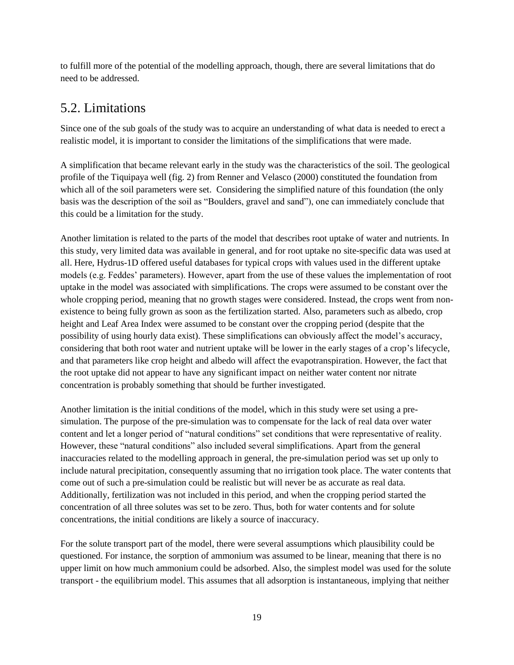to fulfill more of the potential of the modelling approach, though, there are several limitations that do need to be addressed.

## <span id="page-23-0"></span>5.2. Limitations

Since one of the sub goals of the study was to acquire an understanding of what data is needed to erect a realistic model, it is important to consider the limitations of the simplifications that were made.

A simplification that became relevant early in the study was the characteristics of the soil. The geological profile of the Tiquipaya well (fig. 2) from Renner and Velasco (2000) constituted the foundation from which all of the soil parameters were set. Considering the simplified nature of this foundation (the only basis was the description of the soil as "Boulders, gravel and sand"), one can immediately conclude that this could be a limitation for the study.

Another limitation is related to the parts of the model that describes root uptake of water and nutrients. In this study, very limited data was available in general, and for root uptake no site-specific data was used at all. Here, Hydrus-1D offered useful databases for typical crops with values used in the different uptake models (e.g. Feddes' parameters). However, apart from the use of these values the implementation of root uptake in the model was associated with simplifications. The crops were assumed to be constant over the whole cropping period, meaning that no growth stages were considered. Instead, the crops went from nonexistence to being fully grown as soon as the fertilization started. Also, parameters such as albedo, crop height and Leaf Area Index were assumed to be constant over the cropping period (despite that the possibility of using hourly data exist). These simplifications can obviously affect the model's accuracy, considering that both root water and nutrient uptake will be lower in the early stages of a crop's lifecycle, and that parameters like crop height and albedo will affect the evapotranspiration. However, the fact that the root uptake did not appear to have any significant impact on neither water content nor nitrate concentration is probably something that should be further investigated.

Another limitation is the initial conditions of the model, which in this study were set using a presimulation. The purpose of the pre-simulation was to compensate for the lack of real data over water content and let a longer period of "natural conditions" set conditions that were representative of reality. However, these "natural conditions" also included several simplifications. Apart from the general inaccuracies related to the modelling approach in general, the pre-simulation period was set up only to include natural precipitation, consequently assuming that no irrigation took place. The water contents that come out of such a pre-simulation could be realistic but will never be as accurate as real data. Additionally, fertilization was not included in this period, and when the cropping period started the concentration of all three solutes was set to be zero. Thus, both for water contents and for solute concentrations, the initial conditions are likely a source of inaccuracy.

For the solute transport part of the model, there were several assumptions which plausibility could be questioned. For instance, the sorption of ammonium was assumed to be linear, meaning that there is no upper limit on how much ammonium could be adsorbed. Also, the simplest model was used for the solute transport - the equilibrium model. This assumes that all adsorption is instantaneous, implying that neither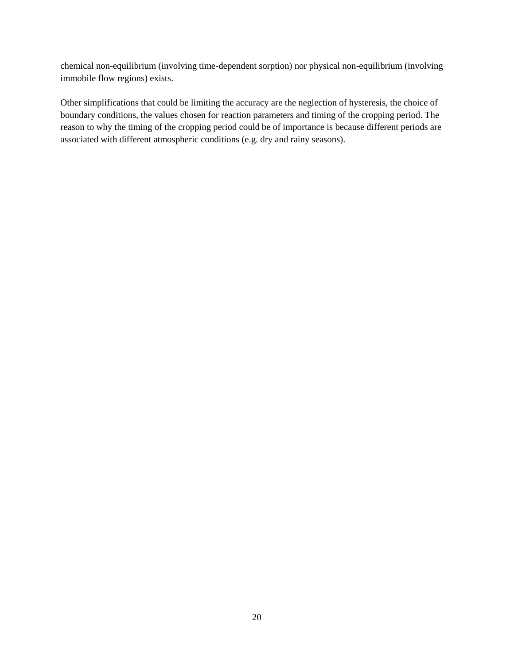chemical non-equilibrium (involving time-dependent sorption) nor physical non-equilibrium (involving immobile flow regions) exists.

Other simplifications that could be limiting the accuracy are the neglection of hysteresis, the choice of boundary conditions, the values chosen for reaction parameters and timing of the cropping period. The reason to why the timing of the cropping period could be of importance is because different periods are associated with different atmospheric conditions (e.g. dry and rainy seasons).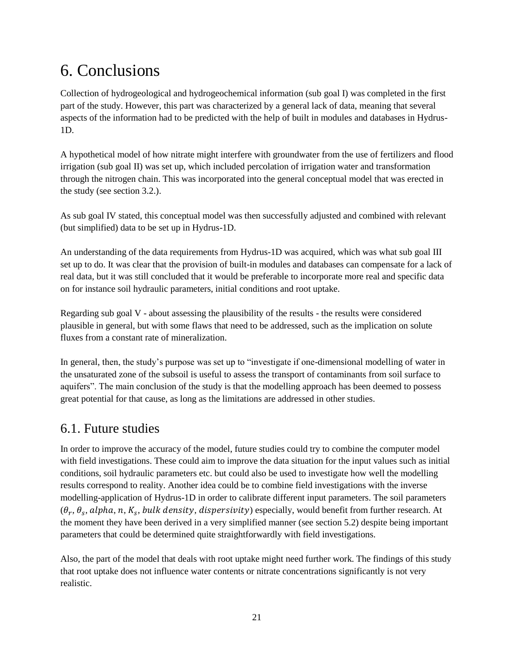# <span id="page-25-0"></span>6. Conclusions

Collection of hydrogeological and hydrogeochemical information (sub goal I) was completed in the first part of the study. However, this part was characterized by a general lack of data, meaning that several aspects of the information had to be predicted with the help of built in modules and databases in Hydrus-1D.

A hypothetical model of how nitrate might interfere with groundwater from the use of fertilizers and flood irrigation (sub goal II) was set up, which included percolation of irrigation water and transformation through the nitrogen chain. This was incorporated into the general conceptual model that was erected in the study (see section 3.2.).

As sub goal IV stated, this conceptual model was then successfully adjusted and combined with relevant (but simplified) data to be set up in Hydrus-1D.

An understanding of the data requirements from Hydrus-1D was acquired, which was what sub goal III set up to do. It was clear that the provision of built-in modules and databases can compensate for a lack of real data, but it was still concluded that it would be preferable to incorporate more real and specific data on for instance soil hydraulic parameters, initial conditions and root uptake.

Regarding sub goal V - about assessing the plausibility of the results - the results were considered plausible in general, but with some flaws that need to be addressed, such as the implication on solute fluxes from a constant rate of mineralization.

In general, then, the study's purpose was set up to "investigate if one-dimensional modelling of water in the unsaturated zone of the subsoil is useful to assess the transport of contaminants from soil surface to aquifers". The main conclusion of the study is that the modelling approach has been deemed to possess great potential for that cause, as long as the limitations are addressed in other studies.

## <span id="page-25-1"></span>6.1. Future studies

In order to improve the accuracy of the model, future studies could try to combine the computer model with field investigations. These could aim to improve the data situation for the input values such as initial conditions, soil hydraulic parameters etc. but could also be used to investigate how well the modelling results correspond to reality. Another idea could be to combine field investigations with the inverse modelling-application of Hydrus-1D in order to calibrate different input parameters. The soil parameters  $(\theta_r, \theta_s, \alpha lpha, n, K_s, bulk density, dispersivity)$  especially, would benefit from further research. At the moment they have been derived in a very simplified manner (see section 5.2) despite being important parameters that could be determined quite straightforwardly with field investigations.

Also, the part of the model that deals with root uptake might need further work. The findings of this study that root uptake does not influence water contents or nitrate concentrations significantly is not very realistic.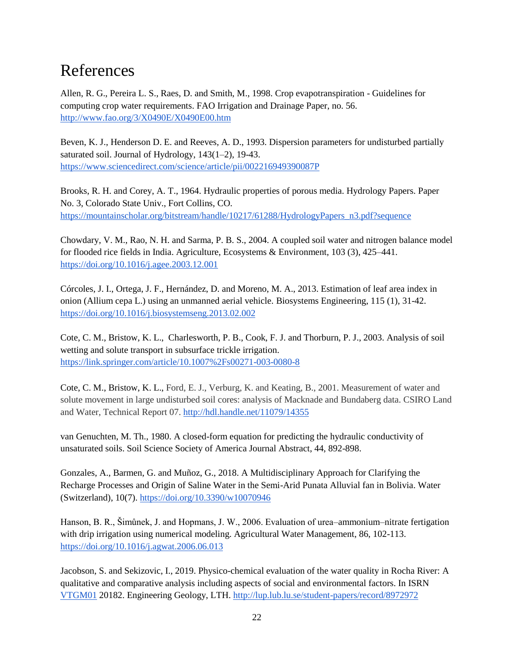# <span id="page-26-0"></span>References

Allen, R. G., Pereira L. S., Raes, D. and Smith, M., 1998. Crop evapotranspiration - Guidelines for computing crop water requirements. FAO Irrigation and Drainage Paper, no. 56. <http://www.fao.org/3/X0490E/X0490E00.htm>

Beven, K. J., Henderson D. E. and Reeves, A. D., 1993. Dispersion parameters for undisturbed partially saturated soil. [Journal of Hydrology,](https://www.sciencedirect.com/science/journal/00221694) [143\(1–2\)](https://www.sciencedirect.com/science/journal/00221694/143/1), 19-43. <https://www.sciencedirect.com/science/article/pii/002216949390087P>

Brooks, R. H. and Corey, A. T., 1964. Hydraulic properties of porous media. Hydrology Papers. Paper No. 3, Colorado State Univ., Fort Collins, CO. [https://mountainscholar.org/bitstream/handle/10217/61288/HydrologyPapers\\_n3.pdf?sequence](https://mountainscholar.org/bitstream/handle/10217/61288/HydrologyPapers_n3.pdf?sequence)

Chowdary, V. M., Rao, N. H. and Sarma, P. B. S., 2004. A coupled soil water and nitrogen balance model for flooded rice fields in India. Agriculture, Ecosystems & Environment, 103 (3), 425–441. <https://doi.org/10.1016/j.agee.2003.12.001>

Córcoles, J. I., Ortega, J. F., Hernández, D. and Moreno, M. A., 2013. Estimation of leaf area index in onion (Allium cepa L.) using an unmanned aerial vehicle. [Biosystems Engineering,](https://www.sciencedirect.com/science/journal/15375110) [115 \(1\)](https://www.sciencedirect.com/science/journal/15375110/115/1), 31-42. <https://doi.org/10.1016/j.biosystemseng.2013.02.002>

Cote, C. M., Bristow, K. L., Charlesworth, P. B., Cook, F. J. and Thorburn, P. J., 2003. Analysis of soil wetting and solute transport in subsurface trickle irrigation. <https://link.springer.com/article/10.1007%2Fs00271-003-0080-8>

Cote, C. M., Bristow, K. L., Ford, E. J., Verburg, K. and Keating, B., 2001. Measurement of water and solute movement in large undisturbed soil cores: analysis of Macknade and Bundaberg data. CSIRO Land and Water, Technical Report 07.<http://hdl.handle.net/11079/14355>

van Genuchten, M. Th., 1980. A closed-form equation for predicting the hydraulic conductivity of unsaturated soils. Soil Science Society of America Journal Abstract, 44, 892-898.

[Gonzales, A.](https://portal.research.lu.se/portal/en/persons/andres-gonzales(73cc7ee8-9a2c-4044-8477-bc4b47da6b3e).html)[, Barmen, G.](https://portal.research.lu.se/portal/en/persons/gerhard-barmen(5160fd1a-6659-4cdb-86f1-f252c0251428).html) and Muñoz, G., 2018. [A Multidisciplinary Approach for Clarifying the](https://portal.research.lu.se/portal/en/publications/a-multidisciplinary-approach-for-clarifying-the-recharge-processes-and-origin-of-saline-water-in-the-semiarid-punata-alluvial-fan-in-bolivia(58ec6d9f-0c90-4f73-941e-fee4143ff354).html)  [Recharge Processes and Origin of Saline Water in the Semi-Arid Punata Alluvial fan in Bolivia.](https://portal.research.lu.se/portal/en/publications/a-multidisciplinary-approach-for-clarifying-the-recharge-processes-and-origin-of-saline-water-in-the-semiarid-punata-alluvial-fan-in-bolivia(58ec6d9f-0c90-4f73-941e-fee4143ff354).html) [Water](https://portal.research.lu.se/portal/en/journals/water-switzerland(0ffa7a76-d557-4daf-b1a7-e8403ec9f830)/publications.html)  [\(Switzerland\),](https://portal.research.lu.se/portal/en/journals/water-switzerland(0ffa7a76-d557-4daf-b1a7-e8403ec9f830)/publications.html) 10(7)[. https://doi.org/10.3390/w10070946](https://doi.org/10.1016/j.agwat.2006.06.013)

Hanson, B. R., Šimůnek, J. and Hopmans, J. W., 2006. Evaluation of urea–ammonium–nitrate fertigation with drip irrigation using numerical modeling. Agricultural Water Management, 86, 102-113. <https://doi.org/10.1016/j.agwat.2006.06.013>

Jacobson, S. and Sekizovic, I., 2019. Physico-chemical evaluation of the water quality in Rocha River: A qualitative and comparative analysis including aspects of social and environmental factors. In ISRN [VTGM01](https://lup.lub.lu.se/student-papers/search/publication?q=course+exact+VTGM01) 20182. Engineering Geology, LTH.<http://lup.lub.lu.se/student-papers/record/8972972>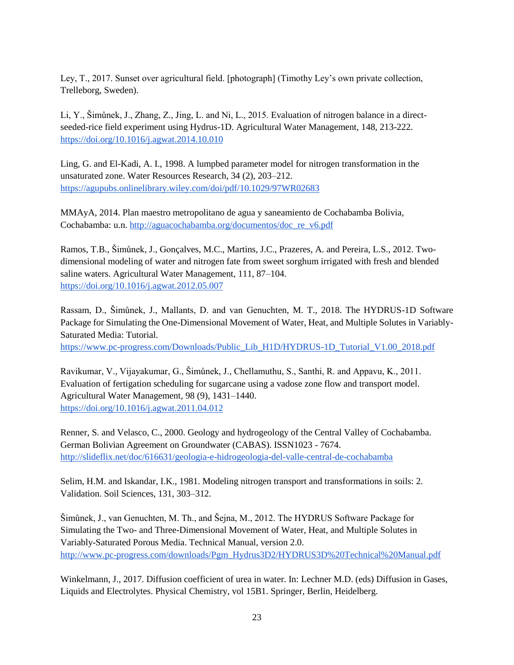Ley, T., 2017. Sunset over agricultural field. [photograph] (Timothy Ley's own private collection, Trelleborg, Sweden).

Li, Y., Šimůnek, J., Zhang, Z., Jing, L. and Ni, L., 2015. Evaluation of nitrogen balance in a directseeded-rice field experiment using Hydrus-1D. Agricultural Water Management, 148, 213-222. <https://doi.org/10.1016/j.agwat.2014.10.010>

Ling, G. and El-Kadi, A. I., 1998. A lumpbed parameter model for nitrogen transformation in the unsaturated zone. Water Resources Research, 34 (2), 203–212. <https://agupubs.onlinelibrary.wiley.com/doi/pdf/10.1029/97WR02683>

MMAyA, 2014. Plan maestro metropolitano de agua y saneamiento de Cochabamba Bolivia, Cochabamba: u.n. [http://aguacochabamba.org/documentos/doc\\_re\\_v6.pdf](http://aguacochabamba.org/documentos/doc_re_v6.pdf)

Ramos, T.B., Šimůnek, J., Go[nça](https://www.sciencedirect.com/science/article/pii/S0378377412001370?via%3Dihub#!)lves, M.C., Martins, J.C., Prazeres, A. and Pereira, L.S., 2012. Twodimensional modeling of water and nitrogen fate from sweet sorghum irrigated with fresh and blended saline waters. Agricultural Water Management, 111, 87–104. <https://doi.org/10.1016/j.agwat.2012.05.007>

Rassam, D., Šimůnek, J., Mallants, D. and van Genuchten, M. T., 2018. The HYDRUS-1D Software Package for Simulating the One-Dimensional Movement of Water, Heat, and Multiple Solutes in Variably-Saturated Media: Tutorial.

[https://www.pc-progress.com/Downloads/Public\\_Lib\\_H1D/HYDRUS-1D\\_Tutorial\\_V1.00\\_2018.pdf](https://www.pc-progress.com/Downloads/Public_Lib_H1D/HYDRUS-1D_Tutorial_V1.00_2018.pdf)

Ravikumar, V., Vijayakumar, G., Šimůnek, J., Chellamuthu, S., Santhi, R. and Appavu, K., 2011. Evaluation of fertigation scheduling for sugarcane using a vadose zone flow and transport model. Agricultural Water Management, 98 (9), 1431–1440. <https://doi.org/10.1016/j.agwat.2011.04.012>

Renner, S. and Velasco, C., 2000. Geology and hydrogeology of the Central Valley of Cochabamba. German Bolivian Agreement on Groundwater (CABAS). ISSN1023 - 7674. <http://slideflix.net/doc/616631/geologia-e-hidrogeologia-del-valle-central-de-cochabamba>

Selim, H.M. and Iskandar, I.K., 1981. Modeling nitrogen transport and transformations in soils: 2. Validation. Soil Sciences, 131, 303–312.

Šimůnek, J., van Genuchten, M. Th., and Šejna, M., 2012. The HYDRUS Software Package for Simulating the Two- and Three-Dimensional Movement of Water, Heat, and Multiple Solutes in Variably-Saturated Porous Media. Technical Manual, version 2.0. [http://www.pc-progress.com/downloads/Pgm\\_Hydrus3D2/HYDRUS3D%20Technical%20Manual.pdf](http://www.pc-progress.com/downloads/Pgm_Hydrus3D2/HYDRUS3D%20Technical%20Manual.pdf)

Winkelmann, J., 2017. Diffusion coefficient of urea in water. In: Lechner M.D. (eds) Diffusion in Gases, Liquids and Electrolytes. Physical Chemistry, vol 15B1. Springer, Berlin, Heidelberg.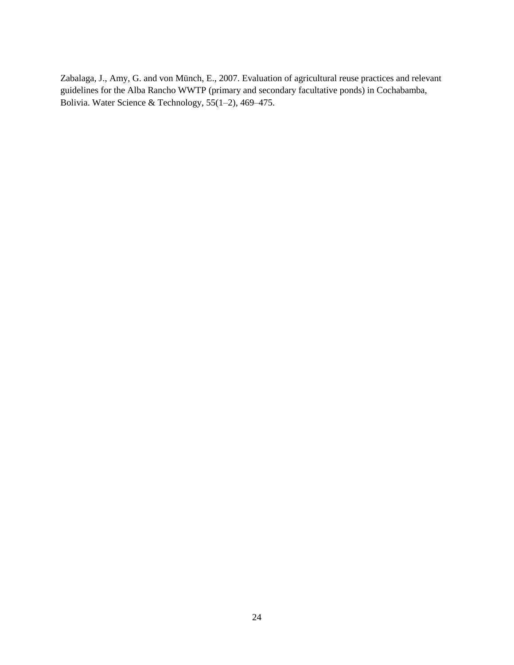Zabalaga, J., Amy, G. and von Münch, E., 2007. Evaluation of agricultural reuse practices and relevant guidelines for the Alba Rancho WWTP (primary and secondary facultative ponds) in Cochabamba, Bolivia. Water Science & Technology, 55(1–2), 469–475.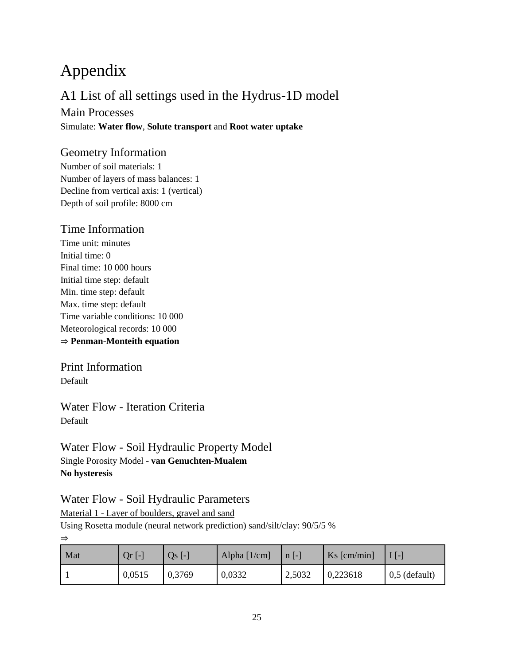# <span id="page-29-0"></span>Appendix

## A1 List of all settings used in the Hydrus-1D model

Main Processes Simulate: **Water flow**, **Solute transport** and **Root water uptake**

### Geometry Information

Number of soil materials: 1 Number of layers of mass balances: 1 Decline from vertical axis: 1 (vertical) Depth of soil profile: 8000 cm

### Time Information

Time unit: minutes Initial time: 0 Final time: 10 000 hours Initial time step: default Min. time step: default Max. time step: default Time variable conditions: 10 000 Meteorological records: 10 000 ⇒ **Penman-Monteith equation**

Print Information Default

Water Flow - Iteration Criteria Default

Water Flow - Soil Hydraulic Property Model Single Porosity Model - **van Genuchten-Mualem No hysteresis**

Water Flow - Soil Hydraulic Parameters

Material 1 - Layer of boulders, gravel and sand

Using Rosetta module (neural network prediction) sand/silt/clay: 90/5/5 %

⇒

| Mat | $Qr$ [-] | $Qs$ [-] | Alpha $[1/cm]$ | $n$ [-] | $Ks$ [cm/min] | $\overline{1}$ [-1] |
|-----|----------|----------|----------------|---------|---------------|---------------------|
|     | 0,0515   | 0,3769   | 0,0332         | 2,5032  | 0,223618      | $0,5$ (default)     |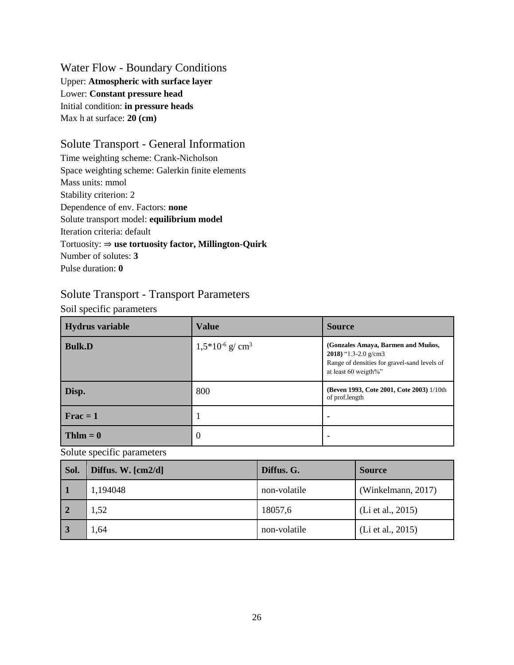Water Flow - Boundary Conditions Upper: **Atmospheric with surface layer** Lower: **Constant pressure head** Initial condition: **in pressure heads** Max h at surface: **20 (cm)** 

### Solute Transport - General Information

Time weighting scheme: Crank-Nicholson Space weighting scheme: Galerkin finite elements Mass units: mmol Stability criterion: 2 Dependence of env. Factors: **none** Solute transport model: **equilibrium model** Iteration criteria: default Tortuosity: ⇒ **use tortuosity factor, Millington-Quirk** Number of solutes: **3** Pulse duration: **0**

### Solute Transport - Transport Parameters

Soil specific parameters

| <b>Hydrus variable</b> | <b>Value</b>                    | <b>Source</b>                                                                                                                      |
|------------------------|---------------------------------|------------------------------------------------------------------------------------------------------------------------------------|
| <b>Bulk.D</b>          | $1,5*10^{-6}$ g/cm <sup>3</sup> | (Gonzales Amaya, Barmen and Muños,<br>2018) "1.3-2.0 g/cm3<br>Range of densities for gravel-sand levels of<br>at least 60 weigth%" |
| Disp.                  | 800                             | (Beven 1993, Cote 2001, Cote 2003) 1/10th<br>of prof.length                                                                        |
| $\text{Frac} = 1$      |                                 |                                                                                                                                    |
| $Thlm = 0$             | $\overline{0}$                  |                                                                                                                                    |

Solute specific parameters

| Sol.           | Diffus. W. $\lceil \frac{\text{cm2}}{\text{d}} \rceil$ | Diffus. G.   | <b>Source</b>      |
|----------------|--------------------------------------------------------|--------------|--------------------|
|                | 1,194048                                               | non-volatile | (Winkelmann, 2017) |
| $\overline{2}$ | 1,52                                                   | 18057,6      | (Li et al., 2015)  |
|                | 1,64                                                   | non-volatile | (Li et al., 2015)  |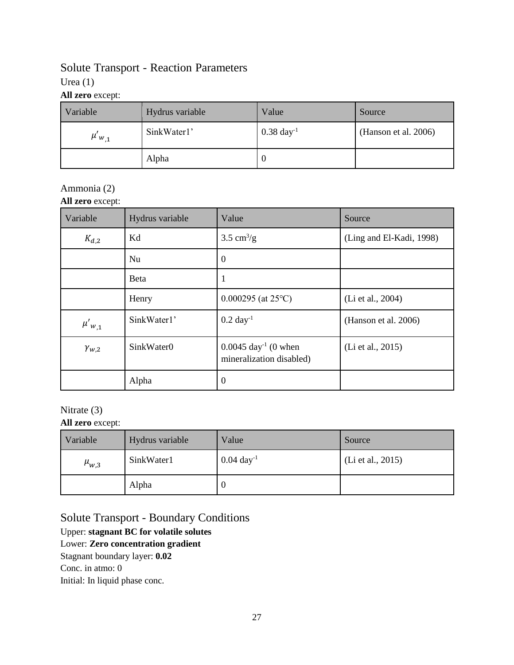## Solute Transport - Reaction Parameters

### Urea (1)

**All zero** except:

| Variable<br>Hydrus variable |             | Value                   | Source               |
|-----------------------------|-------------|-------------------------|----------------------|
| $\mu'_{w,1}$                | SinkWater1' | $0.38 \text{ day}^{-1}$ | (Hanson et al. 2006) |
|                             | Alpha       | υ                       |                      |

### Ammonia (2)

**All zero** except:

| Variable       | Hydrus variable | Value                                                         | Source                   |
|----------------|-----------------|---------------------------------------------------------------|--------------------------|
| $K_{d,2}$      | Kd              | $3.5 \text{ cm}^3/\text{g}$                                   | (Ling and El-Kadi, 1998) |
|                | Nu              | $\overline{0}$                                                |                          |
|                | <b>B</b> eta    | 1                                                             |                          |
|                | Henry           | $0.000295$ (at 25°C)                                          | (Li et al., 2004)        |
| $\mu'_{w,1}$   | SinkWater1'     | $0.2 \text{ day}^{-1}$                                        | (Hanson et al. 2006)     |
| $\gamma_{w,2}$ | SinkWater0      | $0.0045 \text{ day}^{-1}$ (0 when<br>mineralization disabled) | (Li et al., 2015)        |
|                | Alpha           | $\overline{0}$                                                |                          |

## Nitrate (3)

**All zero** except:

| Variable    | Hydrus variable | Value                   | Source            |
|-------------|-----------------|-------------------------|-------------------|
| $\mu_{w,3}$ | SinkWater1      | $0.04 \text{ day}^{-1}$ | (Li et al., 2015) |
|             | Alpha           | υ                       |                   |

Solute Transport - Boundary Conditions Upper: **stagnant BC for volatile solutes** Lower: **Zero concentration gradient** Stagnant boundary layer: **0.02**  Conc. in atmo: 0 Initial: In liquid phase conc.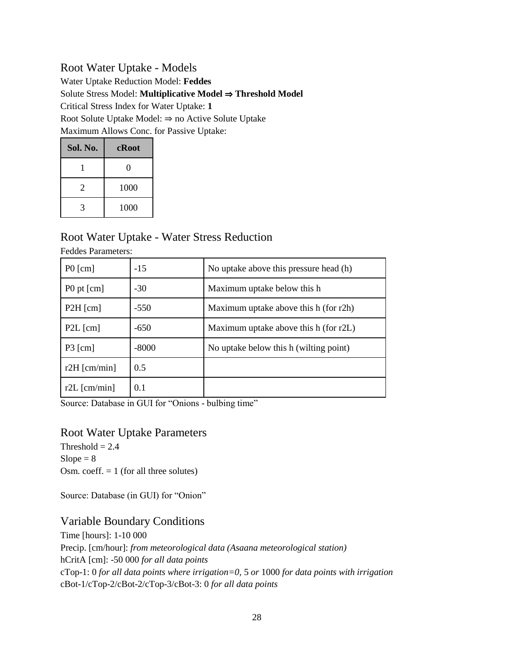### Root Water Uptake - Models

Water Uptake Reduction Model: **Feddes** Solute Stress Model: **Multiplicative Model** ⇒ **Threshold Model**  Critical Stress Index for Water Uptake: **1** Root Solute Uptake Model: ⇒ no Active Solute Uptake Maximum Allows Conc. for Passive Uptake:

| Sol. No. | cRoot |
|----------|-------|
|          | 0     |
| 2        | 1000  |
|          | 1000  |

## Root Water Uptake - Water Stress Reduction

| 1 cauco i arametero.         |         |                                        |
|------------------------------|---------|----------------------------------------|
| $P0$ [cm]                    | $-15$   | No uptake above this pressure head (h) |
| P0 pt [cm]                   | $-30$   | Maximum uptake below this h            |
| $P2H$ [cm]                   | $-550$  | Maximum uptake above this h (for r2h)  |
| $P2L$ [cm]                   | $-650$  | Maximum uptake above this h (for r2L)  |
| $P3$ [cm]                    | $-8000$ | No uptake below this h (wilting point) |
| r2H $\lceil$ cm/min $\rceil$ | 0.5     |                                        |
| $r2L$ [cm/min]               | 0.1     |                                        |

Feddes Parameters:

Source: Database in GUI for "Onions - bulbing time"

#### Root Water Uptake Parameters

Threshold  $= 2.4$  $Slope = 8$ Osm. coeff.  $= 1$  (for all three solutes)

Source: Database (in GUI) for "Onion"

### Variable Boundary Conditions

Time [hours]: 1-10 000 Precip. [cm/hour]: *from meteorological data (Asaana meteorological station)* hCritA [cm]: -50 000 *for all data points* cTop-1: 0 *for all data points where irrigation=0,* 5 *or* 1000 *for data points with irrigation* cBot-1/cTop-2/cBot-2/cTop-3/cBot-3: 0 *for all data points*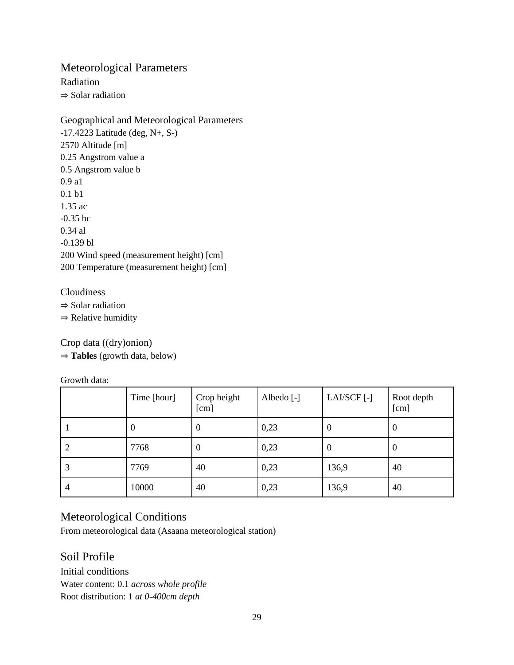### Meteorological Parameters

Radiation ⇒ Solar radiation

Geographical and Meteorological Parameters -17.4223 Latitude (deg, N+, S-) 2570 Altitude [m] 0.25 Angstrom value a 0.5 Angstrom value b 0.9 a1 0.1 b1 1.35 ac -0.35 bc 0.34 al -0.139 bl 200 Wind speed (measurement height) [cm] 200 Temperature (measurement height) [cm]

#### Cloudiness

⇒ Solar radiation

⇒ Relative humidity

Crop data ((dry)onion) ⇒ **Tables** (growth data, below)

Growth data:

|   | Time [hour] | Crop height<br>[cm] | Albedo [-] | LAI/SCF[-] | Root depth<br>[cm] |
|---|-------------|---------------------|------------|------------|--------------------|
|   | $\theta$    | $\theta$            | 0,23       | V          | $\overline{0}$     |
|   | 7768        | $\boldsymbol{0}$    | 0,23       | U          | $\theta$           |
| 3 | 7769        | 40                  | 0,23       | 136,9      | 40                 |
| 4 | 10000       | 40                  | 0,23       | 136,9      | 40                 |

### Meteorological Conditions

From meteorological data (Asaana meteorological station)

### Soil Profile

Initial conditions Water content: 0.1 *across whole profile* Root distribution: 1 *at 0-400cm depth*